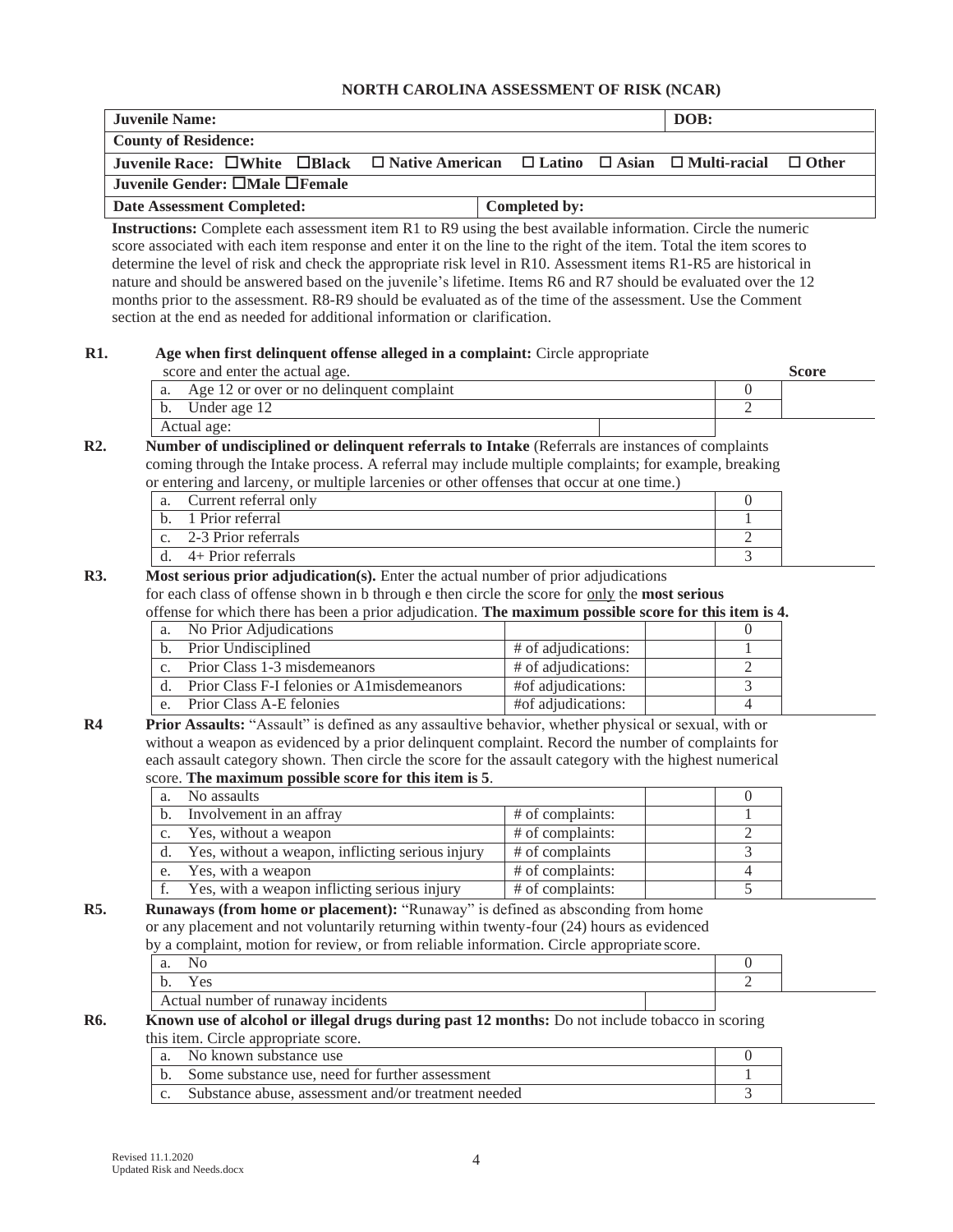## **NORTH CAROLINA ASSESSMENT OF RISK (NCAR)**

| <b>Juvenile Name:</b>                                                                                                                                                                |                     |              | DOB: |                     |              |  |  |
|--------------------------------------------------------------------------------------------------------------------------------------------------------------------------------------|---------------------|--------------|------|---------------------|--------------|--|--|
| <b>County of Residence:</b>                                                                                                                                                          |                     |              |      |                     |              |  |  |
| $\Box$ Native American<br>Juvenile Race: $\square$ White<br>$\Box$ Black                                                                                                             | $\Box$ Latino       | $\Box$ Asian |      | $\Box$ Multi-racial | $\Box$ Other |  |  |
| Juvenile Gender: □Male □Female                                                                                                                                                       |                     |              |      |                     |              |  |  |
| <b>Date Assessment Completed:</b>                                                                                                                                                    | Completed by:       |              |      |                     |              |  |  |
| Instructions: Complete each assessment item R1 to R9 using the best available information. Circle the numeric                                                                        |                     |              |      |                     |              |  |  |
| score associated with each item response and enter it on the line to the right of the item. Total the item scores to                                                                 |                     |              |      |                     |              |  |  |
| determine the level of risk and check the appropriate risk level in R10. Assessment items R1-R5 are historical in                                                                    |                     |              |      |                     |              |  |  |
| nature and should be answered based on the juvenile's lifetime. Items R6 and R7 should be evaluated over the 12                                                                      |                     |              |      |                     |              |  |  |
| months prior to the assessment. R8-R9 should be evaluated as of the time of the assessment. Use the Comment                                                                          |                     |              |      |                     |              |  |  |
| section at the end as needed for additional information or clarification.                                                                                                            |                     |              |      |                     |              |  |  |
|                                                                                                                                                                                      |                     |              |      |                     |              |  |  |
| Age when first delinquent offense alleged in a complaint: Circle appropriate                                                                                                         |                     |              |      |                     |              |  |  |
| score and enter the actual age.                                                                                                                                                      |                     |              |      |                     | <b>Score</b> |  |  |
| Age 12 or over or no delinquent complaint<br>a.                                                                                                                                      |                     |              |      | $\boldsymbol{0}$    |              |  |  |
| Under age 12<br>b.                                                                                                                                                                   |                     |              |      | $\overline{2}$      |              |  |  |
| Actual age:                                                                                                                                                                          |                     |              |      |                     |              |  |  |
| Number of undisciplined or delinquent referrals to Intake (Referrals are instances of complaints                                                                                     |                     |              |      |                     |              |  |  |
| coming through the Intake process. A referral may include multiple complaints; for example, breaking                                                                                 |                     |              |      |                     |              |  |  |
| or entering and larceny, or multiple larcenies or other offenses that occur at one time.)<br>Current referral only                                                                   |                     |              |      | $\theta$            |              |  |  |
| a.<br>1 Prior referral<br>$\mathbf{b}$ .                                                                                                                                             |                     |              |      | 1                   |              |  |  |
| 2-3 Prior referrals                                                                                                                                                                  |                     |              |      | 2                   |              |  |  |
| c.<br>4+ Prior referrals<br>d.                                                                                                                                                       |                     |              |      | 3                   |              |  |  |
|                                                                                                                                                                                      |                     |              |      |                     |              |  |  |
| Most serious prior adjudication(s). Enter the actual number of prior adjudications<br>for each class of offense shown in b through e then circle the score for only the most serious |                     |              |      |                     |              |  |  |
| offense for which there has been a prior adjudication. The maximum possible score for this item is 4.                                                                                |                     |              |      |                     |              |  |  |
| No Prior Adjudications<br>a.                                                                                                                                                         |                     |              |      | $\theta$            |              |  |  |
| Prior Undisciplined<br>b.                                                                                                                                                            | # of adjudications: |              |      | 1                   |              |  |  |
| Prior Class 1-3 misdemeanors<br>c.                                                                                                                                                   | # of adjudications: |              |      | $\overline{2}$      |              |  |  |
| Prior Class F-I felonies or A1misdemeanors<br>d.                                                                                                                                     | #of adjudications:  |              |      | $\overline{3}$      |              |  |  |
| Prior Class A-E felonies<br>e.                                                                                                                                                       | #of adjudications:  |              |      | $\overline{4}$      |              |  |  |
| Prior Assaults: "Assault" is defined as any assaultive behavior, whether physical or sexual, with or                                                                                 |                     |              |      |                     |              |  |  |
| without a weapon as evidenced by a prior delinquent complaint. Record the number of complaints for                                                                                   |                     |              |      |                     |              |  |  |
| each assault category shown. Then circle the score for the assault category with the highest numerical                                                                               |                     |              |      |                     |              |  |  |
| score. The maximum possible score for this item is 5.                                                                                                                                |                     |              |      |                     |              |  |  |
| No assaults<br>a.                                                                                                                                                                    |                     |              |      | $\boldsymbol{0}$    |              |  |  |
| Involvement in an affray<br>b.                                                                                                                                                       | # of complaints:    |              |      | 1                   |              |  |  |
| Yes, without a weapon<br>c.                                                                                                                                                          | # of complaints:    |              |      | $\mathbf{2}$        |              |  |  |
| Yes, without a weapon, inflicting serious injury<br>d.                                                                                                                               | $#$ of complaints   |              |      | $\overline{3}$      |              |  |  |
| Yes, with a weapon<br>e.                                                                                                                                                             | # of complaints:    |              |      | $\overline{4}$      |              |  |  |
| Yes, with a weapon inflicting serious injury<br>f.                                                                                                                                   | # of complaints:    |              |      | $\overline{5}$      |              |  |  |
| Runaways (from home or placement): "Runaway" is defined as absconding from home                                                                                                      |                     |              |      |                     |              |  |  |
| or any placement and not voluntarily returning within twenty-four (24) hours as evidenced                                                                                            |                     |              |      |                     |              |  |  |
| by a complaint, motion for review, or from reliable information. Circle appropriate score.                                                                                           |                     |              |      |                     |              |  |  |
| N <sub>o</sub><br>a.                                                                                                                                                                 |                     |              |      | $\overline{0}$      |              |  |  |
| Yes<br>$\mathbf b$ .                                                                                                                                                                 |                     |              |      | $\overline{2}$      |              |  |  |
| Actual number of runaway incidents                                                                                                                                                   |                     |              |      |                     |              |  |  |
| Known use of alcohol or illegal drugs during past 12 months: Do not include tobacco in scoring                                                                                       |                     |              |      |                     |              |  |  |
| this item. Circle appropriate score.                                                                                                                                                 |                     |              |      |                     |              |  |  |
| a. No known substance use                                                                                                                                                            |                     |              |      | $\Omega$            |              |  |  |